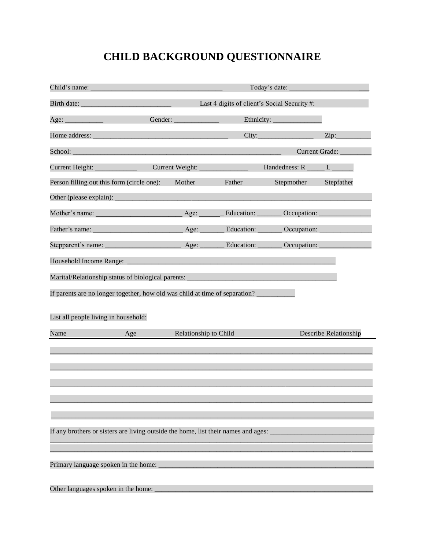# **CHILD BACKGROUND QUESTIONNAIRE**

| Child's name:                                                                                                                                                                                                                        |         | Today's date:                                |                    |                       |                       |
|--------------------------------------------------------------------------------------------------------------------------------------------------------------------------------------------------------------------------------------|---------|----------------------------------------------|--------------------|-----------------------|-----------------------|
|                                                                                                                                                                                                                                      |         | Last 4 digits of client's Social Security #: |                    |                       |                       |
| Age: $\_\_$                                                                                                                                                                                                                          | Gender: |                                              |                    |                       |                       |
| Home address: <u>example and the set of the set of the set of the set of the set of the set of the set of the set of the set of the set of the set of the set of the set of the set of the set of the set of the set of the set </u> |         |                                              |                    |                       | Zip:                  |
| School: <u>Contract of the Contract of the Contract of the Contract of the Contract of the Contract of the Contract of the Contract of the Contract of the Contract of the Contract of the Contract of the Contract of the Contr</u> |         |                                              |                    | Current Grade: _      |                       |
| Current Height:                                                                                                                                                                                                                      |         | Current Weight:                              |                    | Handedness: R _____ L |                       |
| Person filling out this form (circle one):                                                                                                                                                                                           |         | Mother                                       | Father             | Stepmother            | Stepfather            |
|                                                                                                                                                                                                                                      |         |                                              |                    |                       |                       |
| Mother's name:                                                                                                                                                                                                                       |         | Age:                                         | Education: _______ | Occupation:           |                       |
| Father's name:                                                                                                                                                                                                                       |         | Age:                                         | Education:         | Occupation:           |                       |
|                                                                                                                                                                                                                                      |         | Age: $\qquad$                                | Education: _       | Occupation:           |                       |
| Household Income Range:                                                                                                                                                                                                              |         |                                              |                    |                       |                       |
| Marital/Relationship status of biological parents:                                                                                                                                                                                   |         |                                              |                    |                       |                       |
| If parents are no longer together, how old was child at time of separation?                                                                                                                                                          |         |                                              |                    |                       |                       |
|                                                                                                                                                                                                                                      |         |                                              |                    |                       |                       |
| List all people living in household:                                                                                                                                                                                                 |         |                                              |                    |                       |                       |
| Name                                                                                                                                                                                                                                 | Age     | Relationship to Child                        |                    |                       | Describe Relationship |
|                                                                                                                                                                                                                                      |         |                                              |                    |                       |                       |
|                                                                                                                                                                                                                                      |         |                                              |                    |                       |                       |
|                                                                                                                                                                                                                                      |         |                                              |                    |                       |                       |
|                                                                                                                                                                                                                                      |         |                                              |                    |                       |                       |
|                                                                                                                                                                                                                                      |         |                                              |                    |                       |                       |
|                                                                                                                                                                                                                                      |         |                                              |                    |                       |                       |
| If any brothers or sisters are living outside the home, list their names and ages:                                                                                                                                                   |         |                                              |                    |                       |                       |
|                                                                                                                                                                                                                                      |         |                                              |                    |                       |                       |
| Primary language spoken in the home:                                                                                                                                                                                                 |         |                                              |                    |                       |                       |
| Other languages spoken in the home:                                                                                                                                                                                                  |         |                                              |                    |                       |                       |
|                                                                                                                                                                                                                                      |         |                                              |                    |                       |                       |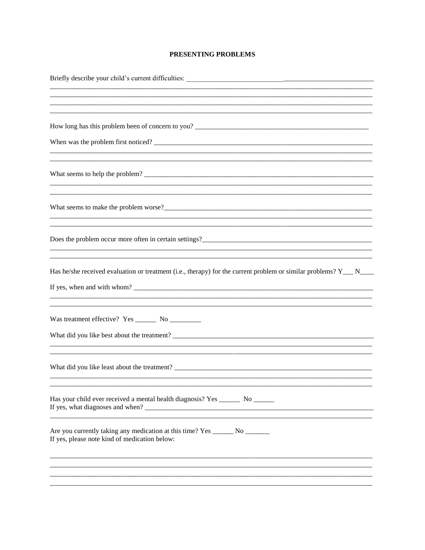## PRESENTING PROBLEMS

| How long has this problem been of concern to you?                                                                                          |
|--------------------------------------------------------------------------------------------------------------------------------------------|
|                                                                                                                                            |
|                                                                                                                                            |
|                                                                                                                                            |
| Does the problem occur more often in certain settings?<br><u>Does the problem occur</u> more often in certain settings?                    |
| Has he/she received evaluation or treatment (i.e., therapy) for the current problem or similar problems? $Y_{\text{max}} = N_{\text{max}}$ |
|                                                                                                                                            |
|                                                                                                                                            |
| Has your child ever received a mental health diagnosis? Yes ________ No _______                                                            |
| Are you currently taking any medication at this time? Yes ________ No _________<br>If yes, please note kind of medication below:           |
|                                                                                                                                            |
|                                                                                                                                            |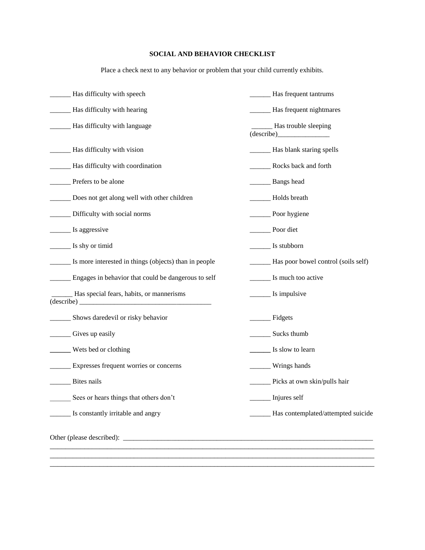# **SOCIAL AND BEHAVIOR CHECKLIST**

Place a check next to any behavior or problem that your child currently exhibits.

| Has difficulty with speech                                               | _Has frequent tantrums                     |
|--------------------------------------------------------------------------|--------------------------------------------|
| - Has difficulty with hearing                                            | <b>Example 3</b> Has frequent nightmares   |
| Has difficulty with language                                             | Has trouble sleeping<br>(describe)         |
| - Has difficulty with vision                                             | - Has blank staring spells                 |
| ___ Has difficulty with coordination                                     | Rocks back and forth                       |
| Prefers to be alone                                                      | Bangs head                                 |
| Does not get along well with other children                              | Holds breath                               |
| Difficulty with social norms                                             | Poor hygiene                               |
| Is aggressive                                                            | Poor diet                                  |
| Is shy or timid                                                          | Is stubborn                                |
| Is more interested in things (objects) than in people                    | ______ Has poor bowel control (soils self) |
| _____ Engages in behavior that could be dangerous to self                | Is much too active                         |
| _Has special fears, habits, or mannerisms<br>$\frac{1}{\text{describe}}$ | <u>s</u> Is impulsive                      |
| _ Shows daredevil or risky behavior                                      | Fidgets                                    |
| Gives up easily                                                          | Sucks thumb                                |
| Wets bed or clothing                                                     | <u>Let</u> Is slow to learn                |
| _ Expresses frequent worries or concerns                                 | _____ Wrings hands                         |
| Bites nails                                                              | Picks at own skin/pulls hair               |
| Sees or hears things that others don't                                   | Injures self                               |
| Is constantly irritable and angry                                        | _Has contemplated/attempted suicide        |
|                                                                          |                                            |
|                                                                          |                                            |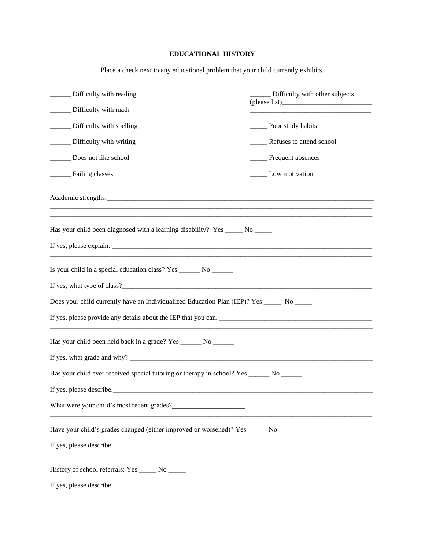# **EDUCATIONAL HISTORY**

Place a check next to any educational problem that your child currently exhibits.

| Difficulty with reading                                                                      | Difficulty with other subjects |
|----------------------------------------------------------------------------------------------|--------------------------------|
| Difficulty with math                                                                         |                                |
| _____ Difficulty with spelling                                                               | ________ Poor study habits     |
| _______ Difficulty with writing                                                              | Refuses to attend school       |
| Does not like school                                                                         | ____ Frequent absences         |
| Failing classes                                                                              | _______ Low motivation         |
|                                                                                              |                                |
| Has your child been diagnosed with a learning disability? Yes _____ No _____                 |                                |
|                                                                                              |                                |
| Is your child in a special education class? Yes _______ No _______                           |                                |
|                                                                                              |                                |
| Does your child currently have an Individualized Education Plan (IEP)? Yes ______ No _____   |                                |
| If yes, please provide any details about the IEP that you can.                               |                                |
| Has your child been held back in a grade? Yes ________ No ________                           |                                |
|                                                                                              |                                |
| Has your child ever received special tutoring or therapy in school? Yes ________ No ________ |                                |
| If yes, please describe.                                                                     |                                |
|                                                                                              |                                |
| Have your child's grades changed (either improved or worsened)? Yes ______ No _______        |                                |
|                                                                                              |                                |
| History of school referrals: Yes ______ No _____                                             |                                |
|                                                                                              |                                |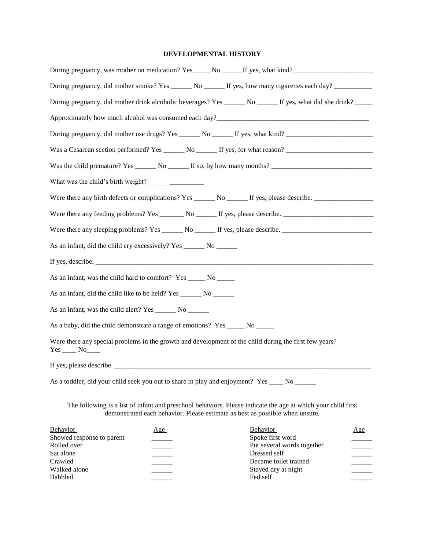#### **DEVELOPMENTAL HISTORY**

| During pregnancy, was mother on medication? Yes_____ No _____If yes, what kind? ____________________            |                                                                                                                                                                                              |
|-----------------------------------------------------------------------------------------------------------------|----------------------------------------------------------------------------------------------------------------------------------------------------------------------------------------------|
| During pregnancy, did mother smoke? Yes ______ No ______ If yes, how many cigarettes each day? ___________      |                                                                                                                                                                                              |
| During pregnancy, did mother drink alcoholic beverages? Yes _______ No _______ If yes, what did she drink? ____ |                                                                                                                                                                                              |
|                                                                                                                 |                                                                                                                                                                                              |
| During pregnancy, did mother use drugs? Yes ______ No ______ If yes, what kind? ____________________            |                                                                                                                                                                                              |
|                                                                                                                 |                                                                                                                                                                                              |
|                                                                                                                 |                                                                                                                                                                                              |
|                                                                                                                 |                                                                                                                                                                                              |
| Were there any birth defects or complications? Yes _______ No ______ If yes, please describe. ________________  |                                                                                                                                                                                              |
|                                                                                                                 |                                                                                                                                                                                              |
|                                                                                                                 |                                                                                                                                                                                              |
| As an infant, did the child cry excessively? Yes _______ No ______                                              |                                                                                                                                                                                              |
|                                                                                                                 |                                                                                                                                                                                              |
| As an infant, was the child hard to comfort? Yes _______ No ______                                              |                                                                                                                                                                                              |
|                                                                                                                 |                                                                                                                                                                                              |
| As an infant, was the child alert? Yes ________ No ________                                                     |                                                                                                                                                                                              |
| As a baby, did the child demonstrate a range of emotions? Yes ______ No ______                                  |                                                                                                                                                                                              |
| Were there any special problems in the growth and development of the child during the first few years?          |                                                                                                                                                                                              |
|                                                                                                                 |                                                                                                                                                                                              |
| As a toddler, did your child seek you out to share in play and enjoyment? Yes ____ No _____                     |                                                                                                                                                                                              |
|                                                                                                                 | The following is a list of infant and preschool behaviors. Please indicate the age at which your child first<br>demonstrated each behavior. Please estimate as best as possible when unsure. |
| <b>Behavior</b><br>Age                                                                                          | Behavior<br>Age                                                                                                                                                                              |
| Showed response to parent<br>Rolled over                                                                        | Spoke first word<br>Put several words together                                                                                                                                               |
| Sat alone                                                                                                       | Dressed self                                                                                                                                                                                 |
| Crawled                                                                                                         | Became toilet trained                                                                                                                                                                        |

Crawled Became toilet trained Became toilet trained Became toilet trained  $\frac{1}{\sqrt{1-\frac{1}{1-\frac{1}{1-\frac{1}{1-\cdots}}}}}$ 

Babbled \_\_\_\_\_\_ Fed self \_\_\_\_\_\_

Walked alone Stayed dry at night Babbled Fed self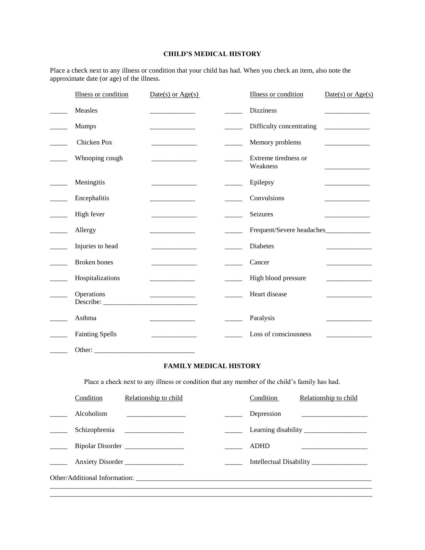## **CHILD'S MEDICAL HISTORY**

Place a check next to any illness or condition that your child has had. When you check an item, also note the approximate date (or age) of the illness.

| Illness or condition   | $Date(s)$ or $Age(s)$                        |                               | Illness or condition                                                                          | $Date(s)$ or $Age(s)$                                           |
|------------------------|----------------------------------------------|-------------------------------|-----------------------------------------------------------------------------------------------|-----------------------------------------------------------------|
| Measles                | <u> 1980 - Johann Barbara, martin a</u>      |                               | <b>Dizziness</b>                                                                              |                                                                 |
| Mumps                  | and the control of the control of            |                               | Difficulty concentrating                                                                      | <u> 1989 - John Barnett, francuski politik (</u>                |
| Chicken Pox            | and the company of the company               |                               | Memory problems                                                                               |                                                                 |
| Whooping cough         | <b>Contract Contract Contract Contract</b>   |                               | Extreme tiredness or<br>Weakness                                                              |                                                                 |
| Meningitis             |                                              |                               | Epilepsy                                                                                      |                                                                 |
| Encephalitis           |                                              |                               | Convulsions                                                                                   |                                                                 |
| High fever             | and the control of the control of            |                               | Seizures                                                                                      |                                                                 |
| Allergy                | and the control of the con-                  |                               | Frequent/Severe headaches                                                                     |                                                                 |
| Injuries to head       |                                              |                               | Diabetes                                                                                      |                                                                 |
| Broken bones           | <u> 1980 - Johann Barbara, martin a</u>      |                               | Cancer                                                                                        | the control of the control of the                               |
| Hospitalizations       |                                              |                               | High blood pressure                                                                           | and the control of the control of                               |
| Operations             |                                              |                               | Heart disease                                                                                 |                                                                 |
| Asthma                 |                                              |                               |                                                                                               |                                                                 |
|                        | the control of the control of the control of |                               | Paralysis                                                                                     | the control of the control of                                   |
| <b>Fainting Spells</b> |                                              |                               | Loss of consciousness                                                                         |                                                                 |
|                        |                                              |                               |                                                                                               |                                                                 |
|                        |                                              | <b>FAMILY MEDICAL HISTORY</b> |                                                                                               |                                                                 |
|                        |                                              |                               | Place a check next to any illness or condition that any member of the child's family has had. |                                                                 |
| Condition              | Relationship to child                        |                               | Condition                                                                                     | Relationship to child                                           |
| Alcoholism             | the control of the control of the control of |                               | Depression                                                                                    | the contract of the contract of the contract of the contract of |
| Schizophrenia          |                                              |                               |                                                                                               |                                                                 |
|                        | Bipolar Disorder                             |                               | <b>ADHD</b>                                                                                   |                                                                 |
|                        | Anxiety Disorder                             |                               |                                                                                               |                                                                 |
|                        |                                              |                               |                                                                                               |                                                                 |
|                        |                                              |                               |                                                                                               |                                                                 |
|                        |                                              |                               |                                                                                               |                                                                 |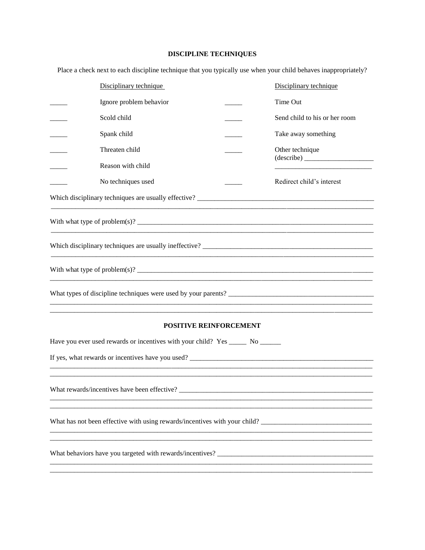# **DISCIPLINE TECHNIQUES**

Place a check next to each discipline technique that you typically use when your child behaves inappropriately?

| Disciplinary technique                                                         | Disciplinary technique         |  |  |  |
|--------------------------------------------------------------------------------|--------------------------------|--|--|--|
| Ignore problem behavior                                                        | Time Out                       |  |  |  |
| Scold child                                                                    | Send child to his or her room  |  |  |  |
| Spank child                                                                    | Take away something            |  |  |  |
| Threaten child                                                                 | Other technique                |  |  |  |
| Reason with child                                                              | $\frac{1}{\text{ (describe)}}$ |  |  |  |
| No techniques used                                                             | Redirect child's interest      |  |  |  |
|                                                                                |                                |  |  |  |
|                                                                                |                                |  |  |  |
| Which disciplinary techniques are usually ineffective?                         |                                |  |  |  |
|                                                                                |                                |  |  |  |
| What types of discipline techniques were used by your parents?                 |                                |  |  |  |
| <b>POSITIVE REINFORCEMENT</b>                                                  |                                |  |  |  |
| Have you ever used rewards or incentives with your child? Yes ______ No ______ |                                |  |  |  |
| If yes, what rewards or incentives have you used?                              |                                |  |  |  |
|                                                                                |                                |  |  |  |
| What rewards/incentives have been effective?                                   |                                |  |  |  |
|                                                                                |                                |  |  |  |
| What has not been effective with using rewards/incentives with your child?     |                                |  |  |  |
|                                                                                |                                |  |  |  |
|                                                                                |                                |  |  |  |
|                                                                                |                                |  |  |  |